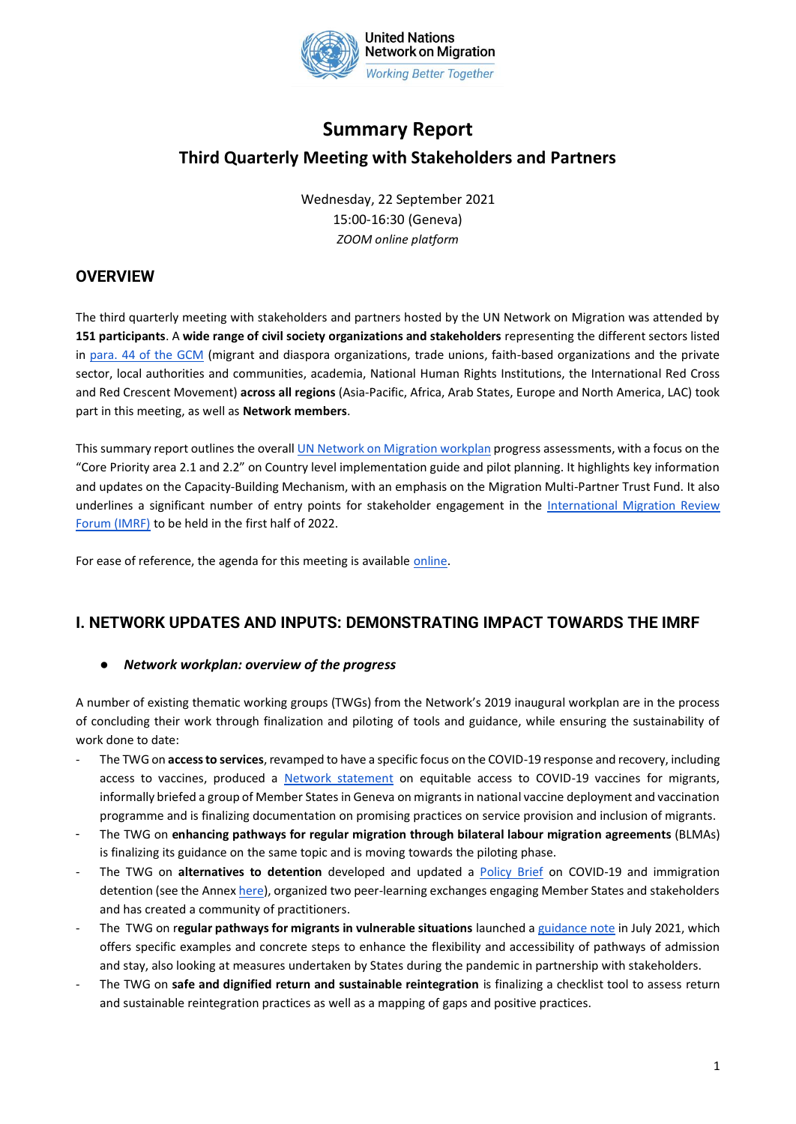

# **Summary Report Third Quarterly Meeting with Stakeholders and Partners**

Wednesday, 22 September 2021 15:00-16:30 (Geneva) *ZOOM online platform*

## **OVERVIEW**

The third quarterly meeting with stakeholders and partners hosted by the UN Network on Migration was attended by **151 participants**. A **wide range of civil society organizations and stakeholders** representing the different sectors listed in [para. 44 of the GCM](https://migrationnetwork.un.org/civil-society-and-stakeholders) (migrant and diaspora organizations, trade unions, faith-based organizations and the private sector, local authorities and communities, academia, National Human Rights Institutions, the International Red Cross and Red Crescent Movement) **across all regions** (Asia-Pacific, Africa, Arab States, Europe and North America, LAC) took part in this meeting, as well as **[Network members](https://migrationnetwork.un.org/network-members)**.

This summary report outlines the overal[l UN Network on Migration workplan](https://migrationnetwork.un.org/about/united-nations-network-migration-workplan) progress assessments, with a focus on the "Core Priority area 2.1 and 2.2" on Country level implementation guide and pilot planning. It highlights key information and updates on the Capacity-Building Mechanism, with an emphasis on the Migration Multi-Partner Trust Fund. It also underlines a significant number of entry points for stakeholder engagement in the [International Migration Review](https://migrationnetwork.un.org/international-migration-review-forum-2022)  [Forum \(IMRF\)](https://migrationnetwork.un.org/international-migration-review-forum-2022) to be held in the first half of 2022.

For ease of reference, the agenda for this meeting is available [online.](https://migrationnetwork.un.org/sites/default/files/docs/agenda_-_3rd_quarterly_meeting_with_stakeholders_and_partners_22_september_2021.pdf)

## **I. NETWORK UPDATES AND INPUTS: DEMONSTRATING IMPACT TOWARDS THE IMRF**

### ● *Network workplan: overview of the progress*

A number of existing thematic working groups (TWGs) from the Network's 2019 inaugural workplan are in the process of concluding their work through finalization and piloting of tools and guidance, while ensuring the sustainability of work done to date:

- The TWG on **access to services**, revamped to have a specific focus on the COVID-19 response and recovery, including access to vaccines, produced a [Network statement](https://migrationnetwork.un.org/statements/striving-equitable-access-covid-19-vaccines-leave-no-migrant-behind) on equitable access to COVID-19 vaccines for migrants, informally briefed a group of Member States in Geneva on migrants in national vaccine deployment and vaccination programme and is finalizing documentation on promising practices on service provision and inclusion of migrants.
- The TWG on **enhancing pathways for regular migration through bilateral labour migration agreements** (BLMAs) is finalizing its guidance on the same topic and is moving towards the piloting phase.
- The TWG on **alternatives to detention** developed and updated a [Policy Brief](https://migrationnetwork.un.org/sites/default/files/docs/un_network_on_migration_wg_atd_policy_brief_covid-19_and_immigration_detention.pdf) on COVID-19 and immigration detention (see the Annex [here\)](https://migrationnetwork.un.org/sites/default/files/docs/annex_to_policy_brief_on_atd_and_covid-19.pdf), organized two peer-learning exchanges engaging Member States and stakeholders and has created a community of practitioners.
- The TWG on r**egular pathways for migrants in vulnerable situations** launched [a guidance note](https://migrationnetwork.un.org/resources/guidance-note-regular-pathways-admission-and-stay-migrants-situations-vulnerability-0) in July 2021, which offers specific examples and concrete steps to enhance the flexibility and accessibility of pathways of admission and stay, also looking at measures undertaken by States during the pandemic in partnership with stakeholders.
- The TWG on **safe and dignified return and sustainable reintegration** is finalizing a checklist tool to assess return and sustainable reintegration practices as well as a mapping of gaps and positive practices.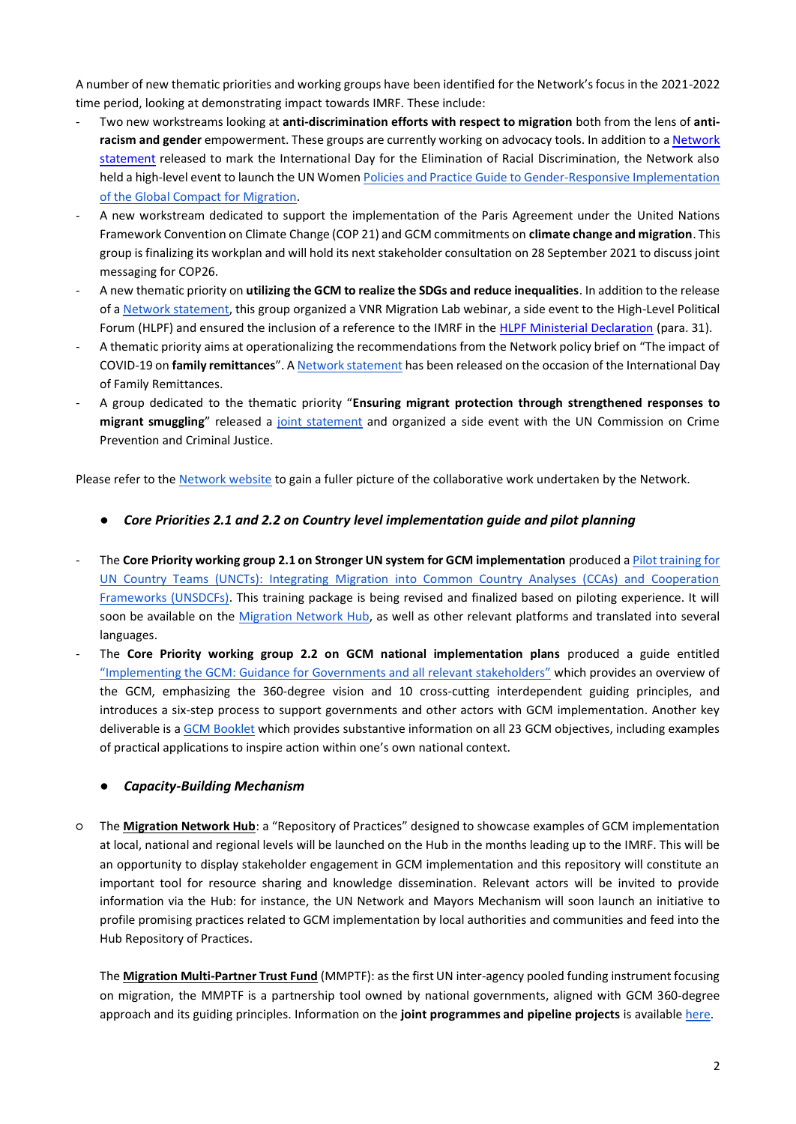A number of new thematic priorities and working groups have been identified for the Network's focus in the 2021-2022 time period, looking at demonstrating impact towards IMRF. These include:

- Two new workstreams looking at **anti-discrimination efforts with respect to migration** both from the lens of **antiracism and gender** empowerment. These groups are currently working on advocacy tools. In addition to [a Network](https://migrationnetwork.un.org/statements/freedom-racial-discrimination-right-not-privilege)  [statement](https://migrationnetwork.un.org/statements/freedom-racial-discrimination-right-not-privilege) released to mark the International Day for the Elimination of Racial Discrimination, the Network also held a high-level event to launch the UN Women Policies and Practice Guide to Gender-Responsive Implementation [of the Global Compact for Migration.](https://ppguide.unwomen.org/)
- A new workstream dedicated to support the implementation of the Paris Agreement under the United Nations Framework Convention on Climate Change (COP 21) and GCM commitments on **climate change and migration**. This group is finalizing its workplan and will hold its next stakeholder consultation on 28 September 2021 to discuss joint messaging for COP26.
- A new thematic priority on **utilizing the GCM to realize the SDGs and reduce inequalities**. In addition to the release of [a Network statement,](https://migrationnetwork.un.org/statements/unlocking-positive-impact-migration-sustainable-development-recover-better-faster-and) this group organized a VNR Migration Lab webinar, a side event to the High-Level Political Forum (HLPF) and ensured the inclusion of a reference to the IMRF in the [HLPF Ministerial Declaration](https://undocs.org/en/E/2021/L.26) (para. 31).
- A thematic priority aims at operationalizing the recommendations from the Network policy brief on "The impact of COVID-19 on **family remittances**". A [Network statement](https://migrationnetwork.un.org/statements/joint-message-un-network-migration-occasion-international-day-family-remittances) has been released on the occasion of the International Day of Family Remittances.
- A group dedicated to the thematic priority "**Ensuring migrant protection through strengthened responses to migrant smuggling**" released a [joint statement](https://migrationnetwork.un.org/statements/countering-criminals-protecting-migrants) and organized a side event with the UN Commission on Crime Prevention and Criminal Justice.

Please refer to the [Network website](https://migrationnetwork.un.org/about/united-nations-network-migration-workplan) to gain a fuller picture of the collaborative work undertaken by the Network.

### ● *Core Priorities 2.1 and 2.2 on Country level implementation guide and pilot planning*

- The **Core Priority working group 2.1 on Stronger UN system for GCM implementation** produced [a Pilot training for](https://migrationnetwork.un.org/core-working-group-21-stronger-un-system-gcm-implementation)  [UN Country Teams \(UNCTs\): Integrating Migration into Common Country Analyses \(CCAs\) and Cooperation](https://migrationnetwork.un.org/core-working-group-21-stronger-un-system-gcm-implementation)  [Frameworks \(UNSDCFs\).](https://migrationnetwork.un.org/core-working-group-21-stronger-un-system-gcm-implementation) This training package is being revised and finalized based on piloting experience. It will soon be available on the [Migration Network Hub,](https://migrationnetwork.un.org/hub) as well as other relevant platforms and translated into several languages.
- The **Core Priority working group 2.2 on GCM national implementation plans** produced a guide entitled ["Implementing the GCM: Guidance for Governments and all relevant stakeholders"](https://migrationnetwork.un.org/sites/default/files/docs/gcm_implementation_guide_finalized_revised_15_october.pdf) which provides an overview of the GCM, emphasizing the 360-degree vision and 10 cross-cutting interdependent guiding principles, and introduces a six-step process to support governments and other actors with GCM implementation. Another key deliverable is [a GCM Booklet](https://migrationnetwork.un.org/sites/default/files/docs/gcm_booklet_finalized_revised_15_october_002.pdf) which provides substantive information on all 23 GCM objectives, including examples of practical applications to inspire action within one's own national context.

### ● *Capacity-Building Mechanism*

○ The **[Migration Network Hub](https://migrationnetwork.un.org/hub)**: a "Repository of Practices" designed to showcase examples of GCM implementation at local, national and regional levels will be launched on the Hub in the months leading up to the IMRF. This will be an opportunity to display stakeholder engagement in GCM implementation and this repository will constitute an important tool for resource sharing and knowledge dissemination. Relevant actors will be invited to provide information via the Hub: for instance, the UN Network and Mayors Mechanism will soon launch an initiative to profile promising practices related to GCM implementation by local authorities and communities and feed into the Hub Repository of Practices.

The **[Migration Multi-Partner Trust Fund](https://migrationnetwork.un.org/mptf)** (MMPTF): as the first UN inter-agency pooled funding instrument focusing on migration, the MMPTF is a partnership tool owned by national governments, aligned with GCM 360-degree approach and its guiding principles. Information on the **joint programmes and pipeline projects** is available [here.](https://mptf.undp.org/factsheet/fund/MIG00)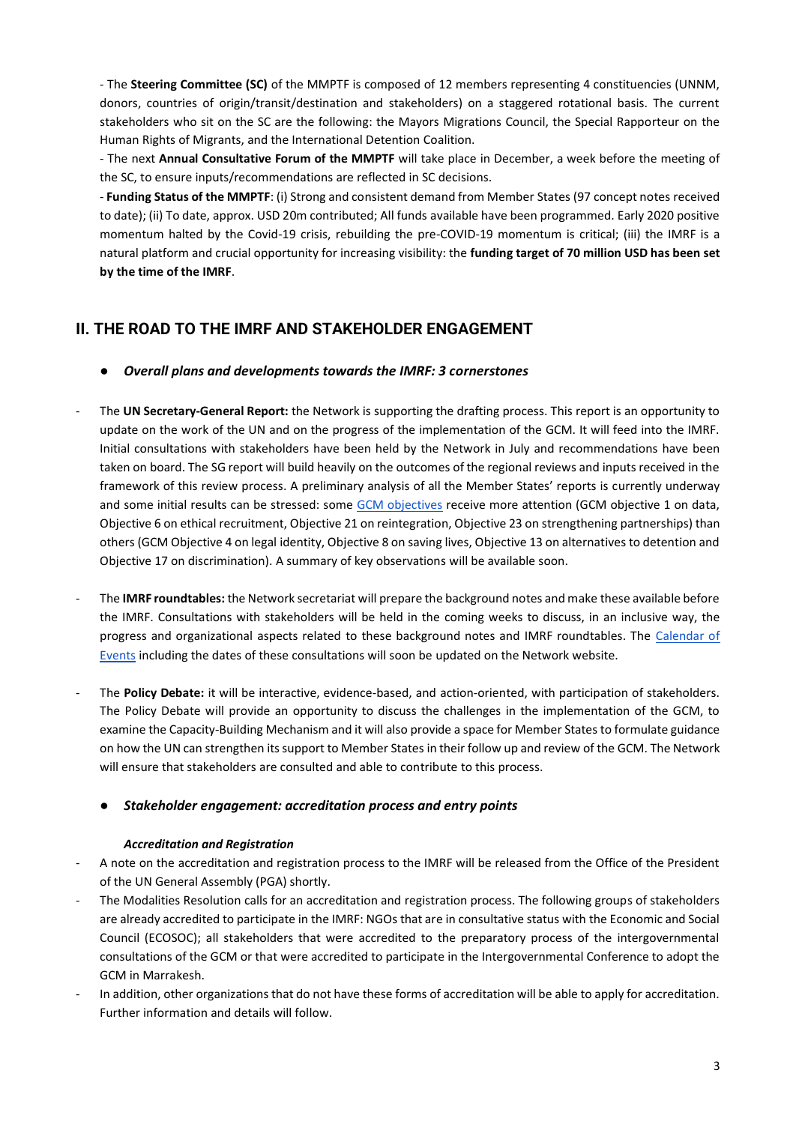- The **Steering Committee (SC)** of the MMPTF is composed of 12 members representing 4 constituencies (UNNM, donors, countries of origin/transit/destination and stakeholders) on a staggered rotational basis. The current stakeholders who sit on the SC are the following: the Mayors Migrations Council, the Special Rapporteur on the Human Rights of Migrants, and the International Detention Coalition.

- The next **Annual Consultative Forum of the MMPTF** will take place in December, a week before the meeting of the SC, to ensure inputs/recommendations are reflected in SC decisions.

- **Funding Status of the MMPTF**: (i) Strong and consistent demand from Member States (97 concept notes received to date); (ii) To date, approx. USD 20m contributed; All funds available have been programmed. Early 2020 positive momentum halted by the Covid-19 crisis, rebuilding the pre-COVID-19 momentum is critical; (iii) the IMRF is a natural platform and crucial opportunity for increasing visibility: the **funding target of 70 million USD has been set by the time of the IMRF**.

# **II. THE ROAD TO THE IMRF AND STAKEHOLDER ENGAGEMENT**

- *Overall plans and developments towards the IMRF: 3 cornerstones*
- The **UN Secretary-General Report:** the Network is supporting the drafting process. This report is an opportunity to update on the work of the UN and on the progress of the implementation of the GCM. It will feed into the IMRF. Initial consultations with stakeholders have been held by the Network in July and recommendations have been taken on board. The SG report will build heavily on the outcomes of the regional reviews and inputs received in the framework of this review process. A preliminary analysis of all the Member States' reports is currently underway and some initial results can be stressed: some [GCM objectives](https://migrationnetwork.un.org/global-compact-for-migration) receive more attention (GCM objective 1 on data, Objective 6 on ethical recruitment, Objective 21 on reintegration, Objective 23 on strengthening partnerships) than others (GCM Objective 4 on legal identity, Objective 8 on saving lives, Objective 13 on alternatives to detention and Objective 17 on discrimination). A summary of key observations will be available soon.
- The **IMRF roundtables:** the Network secretariat will prepare the background notes and make these available before the IMRF. Consultations with stakeholders will be held in the coming weeks to discuss, in an inclusive way, the progress and organizational aspects related to these background notes and IMRF roundtables. The [Calendar of](https://migrationnetwork.un.org/calendar-events-2021)  [Events](https://migrationnetwork.un.org/calendar-events-2021) including the dates of these consultations will soon be updated on the Network website.
- The **Policy Debate:** it will be interactive, evidence-based, and action-oriented, with participation of stakeholders. The Policy Debate will provide an opportunity to discuss the challenges in the implementation of the GCM, to examine the Capacity-Building Mechanism and it will also provide a space for Member States to formulate guidance on how the UN can strengthen its support to Member States in their follow up and review of the GCM. The Network will ensure that stakeholders are consulted and able to contribute to this process.

### ● *Stakeholder engagement: accreditation process and entry points*

### *Accreditation and Registration*

- A note on the accreditation and registration process to the IMRF will be released from the Office of the President of the UN General Assembly (PGA) shortly.
- The Modalities Resolution calls for an accreditation and registration process. The following groups of stakeholders are already accredited to participate in the IMRF: NGOs that are in consultative status with the Economic and Social Council (ECOSOC); all stakeholders that were accredited to the preparatory process of the intergovernmental consultations of the GCM or that were accredited to participate in the Intergovernmental Conference to adopt the GCM in Marrakesh.
- In addition, other organizations that do not have these forms of accreditation will be able to apply for accreditation. Further information and details will follow.